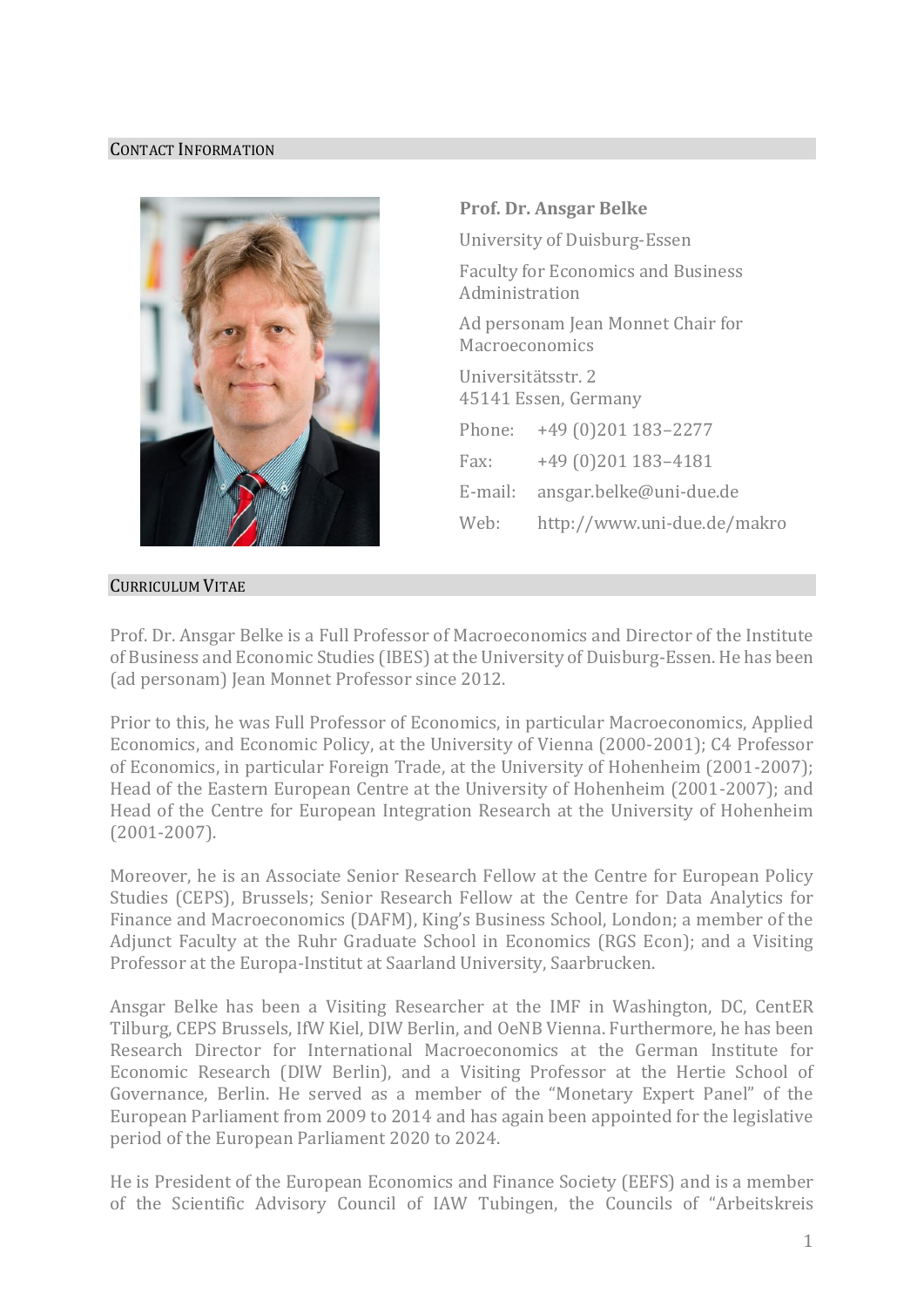## CONTACT INFORMATION



## CURRICULUM VITAE

**Prof. Dr. Ansgar Belke** University of Duisburg-Essen Faculty for Economics and Business Administration Ad personam Jean Monnet Chair for **Macroeconomics** Universitätsstr. 2 45141 Essen, Germany Phone: +49 (0)201 183–2277 Fax: +49 (0)201 183–4181 E-mail: [ansgar.belke@uni-due.de](mailto:ansgar.belke@uni-due.de) Web: <http://www.uni-due.de/makro>

Prof. Dr. Ansgar Belke is a Full Professor of Macroeconomics and Director of the Institute of Business and Economic Studies (IBES) at the University of Duisburg-Essen. He has been (ad personam) Jean Monnet Professor since 2012.

Prior to this, he was Full Professor of Economics, in particular Macroeconomics, Applied Economics, and Economic Policy, at the University of Vienna (2000-2001); C4 Professor of Economics, in particular Foreign Trade, at the University of Hohenheim (2001-2007); Head of the Eastern European Centre at the University of Hohenheim (2001-2007); and Head of the Centre for European Integration Research at the University of Hohenheim (2001-2007).

Moreover, he is an Associate Senior Research Fellow at the Centre for European Policy Studies (CEPS), Brussels; Senior Research Fellow at the Centre for Data Analytics for Finance and Macroeconomics (DAFM), King's Business School, London; a member of the Adjunct Faculty at the Ruhr Graduate School in Economics (RGS Econ); and a Visiting Professor at the Europa-Institut at Saarland University, Saarbrucken.

Ansgar Belke has been a Visiting Researcher at the IMF in Washington, DC, CentER Tilburg, CEPS Brussels, IfW Kiel, DIW Berlin, and OeNB Vienna. Furthermore, he has been Research Director for International Macroeconomics at the German Institute for Economic Research (DIW Berlin), and a Visiting Professor at the Hertie School of Governance, Berlin. He served as a member of the "Monetary Expert Panel" of the European Parliament from 2009 to 2014 and has again been appointed for the legislative period of the European Parliament 2020 to 2024.

He is President of the European Economics and Finance Society (EEFS) and is a member of the Scientific Advisory Council of IAW Tubingen, the Councils of "Arbeitskreis